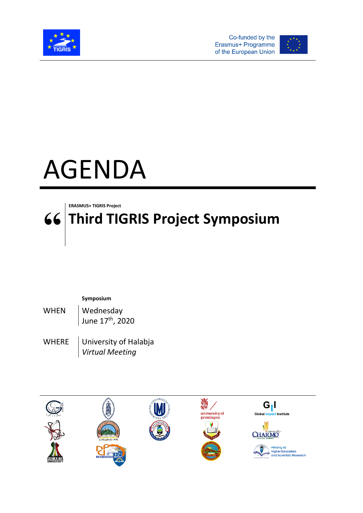







## **Symposium**

WHEN | Wednesday June 17<sup>th</sup>, 2020

WHERE University of Halabja *Virtual Meeting*

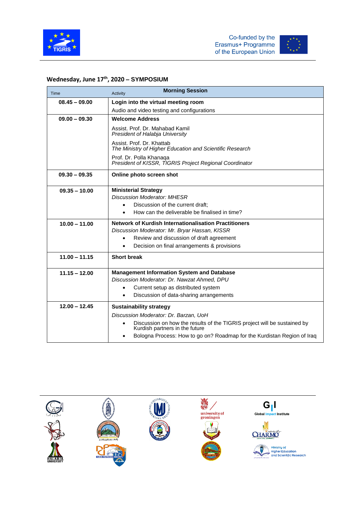



## **Wednesday, June 17 th , 2020 – SYMPOSIUM**

| Time            | <b>Morning Session</b><br>Activity                                                                                                                                                                            |
|-----------------|---------------------------------------------------------------------------------------------------------------------------------------------------------------------------------------------------------------|
| $08.45 - 09.00$ | Login into the virtual meeting room                                                                                                                                                                           |
|                 | Audio and video testing and configurations                                                                                                                                                                    |
| $09.00 - 09.30$ | <b>Welcome Address</b>                                                                                                                                                                                        |
|                 | Assist, Prof. Dr. Mahabad Kamil<br>President of Halabja University                                                                                                                                            |
|                 | Assist. Prof. Dr. Khattab<br>The Ministry of Higher Education and Scientific Research                                                                                                                         |
|                 | Prof. Dr. Polla Khanaga<br>President of KISSR, TIGRIS Project Regional Coordinator                                                                                                                            |
| $09.30 - 09.35$ | Online photo screen shot                                                                                                                                                                                      |
| $09.35 - 10.00$ | <b>Ministerial Strategy</b><br><b>Discussion Moderator: MHESR</b><br>Discussion of the current draft;<br>$\bullet$<br>How can the deliverable be finalised in time?<br>$\bullet$                              |
| $10.00 - 11.00$ | <b>Network of Kurdish Internationalisation Practitioners</b><br>Discussion Moderator: Mr. Bryar Hassan, KISSR<br>Review and discussion of draft agreement<br>Decision on final arrangements & provisions<br>٠ |
| $11.00 - 11.15$ | <b>Short break</b>                                                                                                                                                                                            |
| $11.15 - 12.00$ | <b>Management Information System and Database</b><br>Discussion Moderator: Dr. Nawzat Ahmed. DPU<br>Current setup as distributed system<br>Discussion of data-sharing arrangements                            |
| $12.00 - 12.45$ | <b>Sustainability strategy</b><br>Discussion Moderator: Dr. Barzan, UoH<br>Discussion on how the results of the TIGRIS project will be sustained by                                                           |
|                 | Kurdish partners in the future<br>Bologna Process: How to go on? Roadmap for the Kurdistan Region of Iraq                                                                                                     |

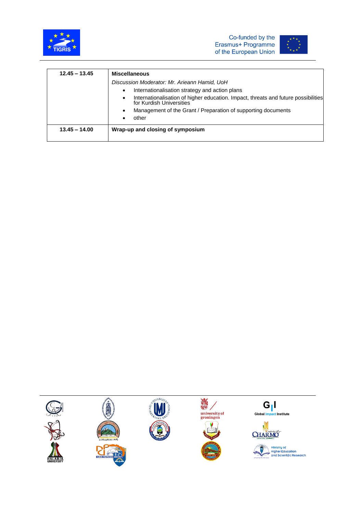





| $12.45 - 13.45$ | <b>Miscellaneous</b>                                                                                                        |  |
|-----------------|-----------------------------------------------------------------------------------------------------------------------------|--|
|                 | Discussion Moderator: Mr. Arieann Hamid, UoH                                                                                |  |
|                 | Internationalisation strategy and action plans<br>$\bullet$                                                                 |  |
|                 | Internationalisation of higher education. Impact, threats and future possibilities<br>$\bullet$<br>for Kurdish Universities |  |
|                 | Management of the Grant / Preparation of supporting documents<br>$\bullet$                                                  |  |
|                 | other                                                                                                                       |  |
| $13.45 - 14.00$ | Wrap-up and closing of symposium                                                                                            |  |